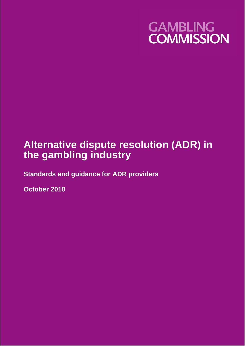

# **Alternative dispute resolution (ADR) in the gambling industry**

**Standards and guidance for ADR providers**

**October 2018**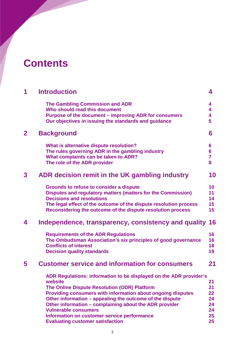# **Contents**

| 1            | <b>Introduction</b>                                                                                                                                                                                                                                                                                                                                                                                                                         | 4                                            |
|--------------|---------------------------------------------------------------------------------------------------------------------------------------------------------------------------------------------------------------------------------------------------------------------------------------------------------------------------------------------------------------------------------------------------------------------------------------------|----------------------------------------------|
|              | <b>The Gambling Commission and ADR</b><br>Who should read this document<br>Purpose of the document - improving ADR for consumers<br>Our objectives in issuing the standards and guidance                                                                                                                                                                                                                                                    | 4<br>4<br>4<br>5                             |
| $\mathbf{2}$ | <b>Background</b>                                                                                                                                                                                                                                                                                                                                                                                                                           | 6                                            |
|              | What is alternative dispute resolution?<br>The rules governing ADR in the gambling industry<br>What complaints can be taken to ADR?<br>The role of the ADR provider                                                                                                                                                                                                                                                                         | $6\phantom{1}6$<br>6<br>$\overline{7}$<br>8  |
| 3            | ADR decision remit in the UK gambling industry                                                                                                                                                                                                                                                                                                                                                                                              | 10                                           |
|              | <b>Grounds to refuse to consider a dispute</b><br>Disputes and regulatory matters (matters for the Commission)<br><b>Decisions and resolutions</b><br>The legal effect of the outcome of the dispute resolution process<br>Reconsidering the outcome of the dispute resolution process                                                                                                                                                      | 10<br>11<br>14<br>15<br>15 <sub>1</sub>      |
| 4            | Independence, transparency, consistency and quality 16                                                                                                                                                                                                                                                                                                                                                                                      |                                              |
|              | <b>Requirements of the ADR Regulations</b><br>The Ombudsman Association's six principles of good governance<br><b>Conflicts of interest</b><br><b>Decision quality standards</b>                                                                                                                                                                                                                                                            | 16<br>16<br>18<br>19                         |
| 5            | <b>Customer service and information for consumers</b>                                                                                                                                                                                                                                                                                                                                                                                       | 21                                           |
|              | ADR Regulations: information to be displayed on the ADR provider's<br>website<br>The Online Dispute Resolution (ODR) Platform<br>Providing consumers with information about ongoing disputes<br>Other information - appealing the outcome of the dispute<br>Other information – complaining about the ADR provider<br><b>Vulnerable consumers</b><br>Information on customer service performance<br><b>Evaluating customer satisfaction</b> | 21<br>21<br>22<br>24<br>24<br>24<br>25<br>25 |
|              |                                                                                                                                                                                                                                                                                                                                                                                                                                             |                                              |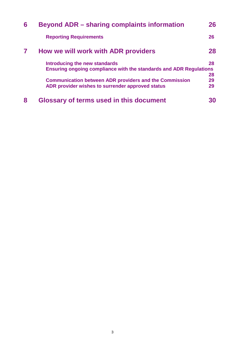| <b>Beyond ADR – sharing complaints information</b>                        | 26                                                            |  |
|---------------------------------------------------------------------------|---------------------------------------------------------------|--|
| <b>Reporting Requirements</b>                                             | 26                                                            |  |
| How we will work with ADR providers                                       | 28                                                            |  |
| Introducing the new standards                                             | 28                                                            |  |
| <b>Ensuring ongoing compliance with the standards and ADR Regulations</b> |                                                               |  |
|                                                                           | 28                                                            |  |
|                                                                           | 29                                                            |  |
| ADR provider wishes to surrender approved status                          | 29                                                            |  |
| <b>Glossary of terms used in this document</b>                            | 30                                                            |  |
|                                                                           | <b>Communication between ADR providers and the Commission</b> |  |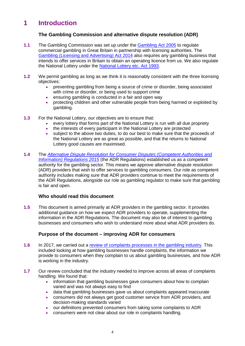# **1 Introduction**

### **The Gambling Commission and alternative dispute resolution (ADR)**

- **1.1** The Gambling Commission was set up under the [Gambling Act 2005](http://www.legislation.gov.uk/ukpga/2005/19/contents) to regulate commercial gambling in Great Britain in partnership with licensing authorities. The [Gambling \(Licensing and Advertising\) Act 2014](http://www.legislation.gov.uk/ukpga/2014/17/contents) also requires any gambling business that intends to offer services in Britain to obtain an operating licence from us. We also regulate the National Lottery under the [National Lottery etc. Act 1993.](http://www.legislation.gov.uk/ukpga/1993/39/contents)
- **1.2** We permit gambling as long as we think it is reasonably consistent with the three licensing objectives:
	- preventing gambling from being a source of crime or disorder, being associated with crime or disorder, or being used to support crime
	- ensuring gambling is conducted in a fair and open way
	- protecting children and other vulnerable people from being harmed or exploited by gambling.
- **1.3** For the National Lottery, our objectives are to ensure that:
	- every lottery that forms part of the National Lottery is run with all due propriety
	- the interests of every participant in the National Lottery are protected
	- subject to the above two duties, to do our best to make sure that the proceeds of the National Lottery are as great as possible, and that the returns to National Lottery good causes are maximised.
- **1.4** The *[Alternative Dispute Resolution for Consumer Disputes \(Competent Authorities and](http://www.legislation.gov.uk/uksi/2015/542/contents/made)  [Information\) Regulations 2015](http://www.legislation.gov.uk/uksi/2015/542/contents/made)* (the ADR Regulations) established us as a competent authority for the gambling sector. This means we approve alternative dispute resolution (ADR) providers that wish to offer services to gambling consumers. Our role as competent authority includes making sure that ADR providers continue to meet the requirements of the ADR Regulations, alongside our role as gambling regulator to make sure that gambling is fair and open.

## **Who should read this document**

**1.5** This document is aimed primarily at ADR providers in the gambling sector. It provides additional guidance on how we expect ADR providers to operate, supplementing the information in the ADR Regulations. The document may also be of interest to gambling businesses and consumers who wish to understand more about what ADR providers do.

## **Purpose of the document – improving ADR for consumers**

- **1.6** In 2017, we carried out a [review of complaints processes in the gambling industry.](https://www.gamblingcommission.gov.uk/for-gambling-businesses/Compliance/General-compliance/ADR/Consumer-complaints-and-redress-review.aspx) This included looking at how gambling businesses handle complaints, the information we provide to consumers when they complain to us about gambling businesses, and how ADR is working in the industry.
- **1.7** Our review concluded that the industry needed to improve across all areas of complaints handling. We found that:
	- information that gambling businesses gave consumers about how to complain varied and was not always easy to find
	- data that gambling businesses gave us about complaints appeared inaccurate
	- consumers did not always get good customer service from ADR providers, and decision-making standards varied
	- our definitions prevented consumers from taking some complaints to ADR
	- consumers were not clear about our role in complaints handling.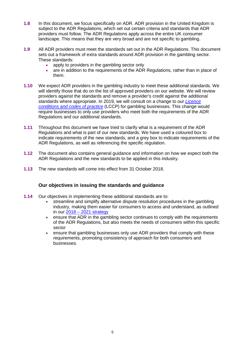- **1.8** In this document, we focus specifically on ADR. ADR provision in the United Kingdom is subject to the ADR Regulations, which set out certain criteria and standards that ADR providers must follow. The ADR Regulations apply across the entire UK consumer landscape. This means that they are very broad and are not specific to gambling.
- **1.9** All ADR providers must meet the standards set out in the ADR Regulations. This document sets out a framework of extra standards around ADR provision in the gambling sector. These standards:
	- apply to providers in the gambling sector only
	- are in addition to the requirements of the ADR Regulations, rather than in place of them.
- **1.10** We expect ADR providers in the gambling industry to meet these additional standards. We will identify those that do on the list of approved providers on our website. We will review providers against the standards and remove a provider's credit against the additional standards where appropriate. In 2019, we will consult on a change to our *[Licence](https://www.gamblingcommission.gov.uk/for-gambling-businesses/Compliance/LCCP/Licence-conditions-and-codes-of-practice.aspx)  [conditions and codes of practice](https://www.gamblingcommission.gov.uk/for-gambling-businesses/Compliance/LCCP/Licence-conditions-and-codes-of-practice.aspx)* (LCCP) for gambling businesses. This change would require businesses to only use providers who meet both the requirements of the ADR Regulations and our additional standards.
- **1.11** Throughout this document we have tried to clarify what is a requirement of the ADR Regulations and what is part of our new standards. We have used a coloured box to indicate requirements of the new standards, and a grey box to indicate requirements of the ADR Regulations, as well as referencing the specific regulation.
- **1.12** The document also contains general guidance and information on how we expect both the ADR Regulations and the new standards to be applied in this industry.
- **1.13** The new standards will come into effect from 31 October 2018.

#### **Our objectives in issuing the standards and guidance**

- **1.14** Our objectives in implementing these additional standards are to:
	- streamline and simplify alternative dispute resolution procedures in the gambling industry, making them easier for consumers to access and understand, as outlined in our 2018 – [2021 strategy](http://www.gamblingcommission.gov.uk/PDF/Strategy-2018-2021.pdf)
	- ensure that ADR in the gambling sector continues to comply with the requirements of the ADR Regulations, but also meets the needs of consumers within this specific sector
	- ensure that gambling businesses only use ADR providers that comply with these requirements, promoting consistency of approach for both consumers and businesses.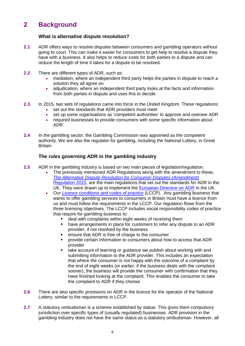# **2 Background**

### **What is alternative dispute resolution?**

- **2.1** ADR offers ways to resolve disputes between consumers and gambling operators without going to court. This can make it easier for consumers to get help to resolve a dispute they have with a business. It also helps to reduce costs for both parties to a dispute and can reduce the length of time it takes for a dispute to be resolved.
- **2.2** There are different types of ADR, such as:
	- mediation, where an independent third party helps the parties in dispute to reach a solution they all agree on
	- adjudication, where an independent third party looks at the facts and information from both parties in dispute and uses this to decide.
- **2.3** In 2015, two sets of regulations came into force in the United Kingdom. These regulations:
	- set out the standards that ADR providers must meet
	- set up some organisations as 'competent authorities' to approve and oversee ADR
	- required businesses to provide consumers with some specific information about ADR.
- **2.4** In the gambling sector, the Gambling Commission was appointed as the competent authority. We are also the regulator for gambling, including the National Lottery, in Great Britain.

#### **The rules governing ADR in the gambling industry**

- **2.5** ADR in the gambling industry is based on two main pieces of legislation/regulation:
	- The previously mentioned ADR Regulations along with the amendment to these, *[The Alternative Dispute Resolution for Consumer Disputes \(Amendment\)](http://www.legislation.gov.uk/uksi/2015/1392/pdfs/uksi_20151392_en.pdf)  [Regulation 2015](http://www.legislation.gov.uk/uksi/2015/1392/pdfs/uksi_20151392_en.pdf)*, are the main regulations that set out the standards for ADR in the UK. They were drawn up to implement the [European Directive on ADR](http://eur-lex.europa.eu/LexUriServ/LexUriServ.do?uri=OJ:L:2013:165:0063:0079:EN:PDF) in the UK.
	- Our *[Licence conditions and codes of practice](http://www.gamblingcommission.gov.uk/for-gambling-businesses/Compliance/LCCP/Licence-conditions-and-codes-of-practice.aspx)* (LCCP). Any gambling business that wants to offer gambling services to consumers in Britain must have a licence from us and must follow the requirements in the LCCP. Our regulation flows from the three licensing objectives. The LCCP includes social responsibility codes of practice that require for gambling business to:
		- deal with complaints within eight weeks of receiving them
		- have arrangements in place for customers to refer any dispute to an ADR provider, if not resolved by the business
		- ensure that ADR is free of charge to the consumer
		- provide certain information to consumers about how to access that ADR provider
		- take account of learning or guidance we publish about working with and submitting information to the ADR provider. This includes an expectation that where the consumer is not happy with the outcome of a complaint by the end of eight weeks (or earlier, if the business deals with the complaint sooner), the business will provide the consumer with confirmation that they have finished looking at the complaint. This enables the consumer to take the complaint to ADR if they choose
- **2.6** There are also specific provisions on ADR in the licence for the operator of the National Lottery, similar to the requirements in LCCP.
- **2.7** A statutory ombudsman is a scheme established by statue. This gives them compulsory jurisdiction over specific types of (usually regulated) businesses. ADR provision in the gambling industry does not have the same status as a statutory ombudsman. However, all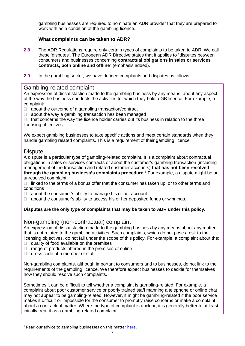gambling businesses are required to nominate an ADR provider that they are prepared to work with as a condition of the gambling licence.

## **What complaints can be taken to ADR?**

- **2.8** The ADR Regulations require only certain types of complaints to be taken to ADR. We call these 'disputes'. The European ADR Directive states that it applies to "disputes between consumers and businesses concerning **contractual obligations in sales or services contracts, both online and offline**" (emphasis added).
- **2.9** In the gambling sector, we have defined complaints and disputes as follows:

# Gambling-related complaint

An expression of dissatisfaction made to the gambling business by any means, about any aspect of the way the business conducts the activities for which they hold a GB licence. For example, a complaint:

- $\Box$  about the outcome of a gambling transaction/contract
- $\Box$  about the way a gambling transaction has been managed

 $\Box$  that concerns the way the licence holder carries out its business in relation to the three licensing objectives.

We expect gambling businesses to take specific actions and meet certain standards when they handle gambling related complaints. This is a requirement of their gambling licence.

# **Dispute**

A dispute is a particular type of gambling-related complaint. It is a complaint about contractual obligations in sales or services contracts or about the customer's gambling transaction (including management of the transaction and related customer accounts) **that has not been resolved through the gambling business's complaints procedure**. [1](#page-6-0) For example, a dispute might be an unresolved complaint:

 $\Box$  linked to the terms of a bonus offer that the consumer has taken up, or to other terms and conditions

- $\Box$  about the consumer's ability to manage his or her account
- $\Box$  about the consumer's ability to access his or her deposited funds or winnings.

## **Disputes are the only type of complaints that may be taken to ADR under this policy**.

# Non-gambling (non-contractual) complaint

An expression of dissatisfaction made to the gambling business by any means about any matter that is not related to the gambling activities. Such complaints, which do not pose a risk to the licensing objectives, do not fall under the scope of this policy. For example, a complaint about the:

- $\Box$  quality of food available on the premises
- $\Box$  range of products offered in the premises or online
- $\Box$  dress code of a member of staff.

Non-gambling complaints, although important to consumers and to businesses, do not link to the requirements of the gambling licence. We therefore expect businesses to decide for themselves how they should resolve such complaints.

Sometimes it can be difficult to tell whether a complaint is gambling-related. For example, a complaint about poor customer service or poorly trained staff manning a telephone or online chat may not appear to be gambling-related. However, it might be gambling-related if the poor service makes it difficult or impossible for the consumer to promptly raise concerns or make a complaint about a contractual matter. Where the type of complaint is unclear, it is generally better to at least initially treat it as a gambling-related complaint.

<span id="page-6-0"></span> $<sup>1</sup>$  Read our advice to gambling businesses on this matter [here.](https://www.gamblingcommission.gov.uk/PDF/2018-09-CD-Guidance-for-Licensees.pdf)</sup>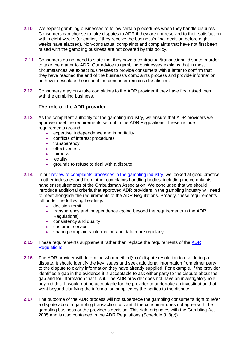- **2.10** We expect gambling businesses to follow certain procedures when they handle disputes. Consumers can choose to take disputes to ADR if they are not resolved to their satisfaction within eight weeks (or earlier, if they receive the business's final decision before eight weeks have elapsed). Non-contractual complaints and complaints that have not first been raised with the gambling business are not covered by this policy.
- **2.11** Consumers do not need to state that they have a contractual/transactional dispute in order to take the matter to ADR. Our advice to gambling businesses explains that in most circumstances we expect businesses to provide consumers with a letter to confirm that they have reached the end of the business's complaints process and provide information on how to escalate the issue if the consumer remains dissatisfied.
- **2.12** Consumers may only take complaints to the ADR provider if they have first raised them with the gambling business.

#### **The role of the ADR provider**

- **2.13** As the competent authority for the gambling industry, we ensure that ADR providers we approve meet the requirements set out in the ADR Regulations. These include requirements around:
	- expertise, independence and impartiality
	- conflicts of interest procedures
	- transparency
	- effectiveness
	- fairness
	- legality
	- grounds to refuse to deal with a dispute.
- **2.14** In our [review of complaints processes in the gambling industry,](http://www.gamblingcommission.gov.uk/for-gambling-businesses/Compliance/General-compliance/ADR/Consumer-complaints-and-redress-review.aspx) we looked at good practice in other industries and from other complaints handling bodies, including the complaints handler requirements of the Ombudsman Association. We concluded that we should introduce additional criteria that approved ADR providers in the gambling industry will need to meet alongside the requirements of the ADR Regulations. Broadly, these requirements fall under the following headings:
	- decision remit
	- transparency and independence (going beyond the requirements in the ADR Regulations)
	- consistency and quality
	- customer service
	- sharing complaints information and data more regularly.
- **2.15** These requirements supplement rather than replace the requirements of the [ADR](http://www.legislation.gov.uk/uksi/2015/542/contents/made)  [Regulations.](http://www.legislation.gov.uk/uksi/2015/542/contents/made)
- **2.16** The ADR provider will determine what method(s) of dispute resolution to use during a dispute. It should identify the key issues and seek additional information from either party to the dispute to clarify information they have already supplied. For example, if the provider identifies a gap in the evidence it is acceptable to ask either party to the dispute about the gap and for information that fills it. The ADR provider does not have an investigatory role beyond this. It would not be acceptable for the provider to undertake an investigation that went beyond clarifying the information supplied by the parties to the dispute.
- **2.17** The outcome of the ADR process will not supersede the gambling consumer's right to refer a dispute about a gambling transaction to court if the consumer does not agree with the gambling business or the provider's decision. This right originates with the Gambling Act 2005 and is also contained in the ADR Regulations (Schedule 3, 8(c)).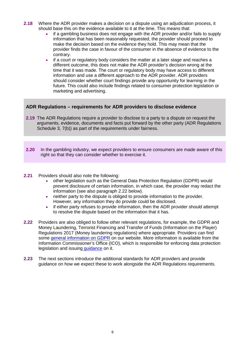- **2.18** Where the ADR provider makes a decision on a dispute using an adjudication process, it should base this on the evidence available to it at the time. This means that:
	- if a gambling business does not engage with the ADR provider and/or fails to supply information that has been reasonably requested, the provider should proceed to make the decision based on the evidence they hold. This may mean that the provider finds the case in favour of the consumer in the absence of evidence to the contrary.
	- if a court or regulatory body considers the matter at a later stage and reaches a different outcome, this does not make the ADR provider's decision wrong at the time that it was made. The court or regulatory body may have access to different information and use a different approach to the ADR provider. ADR providers should consider whether court findings provide any opportunity for learning in the future. This could also include findings related to consumer protection legislation or marketing and advertising.

### **ADR Regulations – requirements for ADR providers to disclose evidence**

- **2.19** The ADR Regulations require a provider to disclose to a party to a dispute on request the arguments, evidence, documents and facts put forward by the other party (ADR Regulations Schedule 3, 7(b)) as part of the requirements under fairness.
- **2.20** In the gambling industry, we expect providers to ensure consumers are made aware of this right so that they can consider whether to exercise it.
- **2.21** Providers should also note the following:
	- other legislation such as the General Data Protection Regulation (GDPR) would prevent disclosure of certain information, in which case, the provider may redact the information (see also paragraph 2.22 below).
	- neither party to the dispute is obliged to provide information to the provider. However, any information they do provide could be disclosed.
	- if either party refuses to provide information, then the ADR provider should attempt to resolve the dispute based on the information that it has.
- **2.22** Providers are also obliged to follow other relevant regulations, for example, the GDPR and Money Laundering, Terrorist Financing and Transfer of Funds (Information on the Player) Regulations 2017 (Money laundering regulations) where appropriate. Providers can find some [general information on GDPR](http://www.gamblingcommission.gov.uk/for-gambling-businesses/Compliance/General-compliance/General-Data-Protection-Regulation-GDPR.aspx) on our website. More information is available from the Information Commissioner's Office (ICO), which is responsible for enforcing data protection legislation and issuing [guidance](https://ico.org.uk/for-organisations/guide-to-the-general-data-protection-regulation-gdpr/) on it.
- **2.23** The next sections introduce the additional standards for ADR providers and provide guidance on how we expect these to work alongside the ADR Regulations requirements.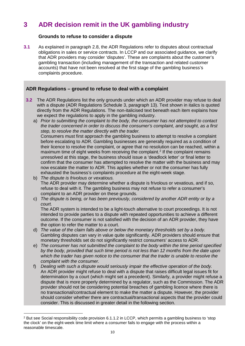# **3 ADR decision remit in the UK gambling industry**

#### **Grounds to refuse to consider a dispute**

**3.1** As explained in paragraph 2.8, the ADR Regulations refer to disputes about contractual obligations in sales or service contracts. In LCCP and our associated guidance, we clarify that ADR providers may consider 'disputes'. These are complaints about the customer's gambling transaction (including management of the transaction and related customer accounts) that have not been resolved at the first stage of the gambling business's complaints procedure.

### **ADR Regulations – ground to refuse to deal with a complaint**

- **3.2** The ADR Regulations list the only grounds under which an ADR provider may refuse to deal with a dispute (ADR Regulations Schedule 3, paragraph 13). Text shown in italics is quoted directly from the ADR Regulations. The non-italicised text beneath each item explains how we expect the regulations to apply in the gambling industry.
	- a) *Prior to submitting the complaint to the body, the consumer has not attempted to contact the trader concerned in order to discuss the consumer's complaint, and sought, as a first step, to resolve the matter directly with the trader.*

Consumers must first approach the gambling business to attempt to resolve a complaint before escalating to ADR. Gambling businesses are generally required as a condition of their licence to resolve the complaint, or agree that no resolution can be reached, within a maximum time of eight weeks from receiving the complaint.<sup>[2](#page-9-0)</sup> If the complaint remains unresolved at this stage, the business should issue a 'deadlock letter' or final letter to confirm that the consumer has attempted to resolve the matter with the business and may now escalate the matter to ADR. This applies whether or not the consumer has fully exhausted the business's complaints procedure at the eight-week stage.

- b) *The dispute is frivolous or vexatious.* The ADR provider may determine whether a dispute is frivolous or vexatious, and if so, refuse to deal with it. The gambling business may not refuse to refer a consumer's complaint to an ADR provider on these grounds.
- c) *The dispute is being, or has been previously, considered by another ADR entity or by a court.*

The ADR system is intended to be a light-touch alternative to court proceedings. It is not intended to provide parties to a dispute with repeated opportunities to achieve a different outcome. If the consumer is not satisfied with the decision of an ADR provider, they have the option to refer the matter to a court.

- d) *The value of the claim falls above or below the monetary thresholds set by a body.* Gambling disputes can vary in value quite significantly. ADR providers should ensure that monetary thresholds set do not significantly restrict consumers' access to ADR.
- e) *The consumer has not submitted the complaint to the body within the time period specified by the body, provided that such time period is not less than 12 months from the date upon which the trader has given notice to the consumer that the trader is unable to resolve the complaint with the consumer.*
- f) *Dealing with such a dispute would seriously impair the effective operation of the body.* An ADR provider might refuse to deal with a dispute that raises difficult legal issues fit for determination by a court (which might set a precedent). Similarly, a provider might refuse a dispute that is more properly determined by a regulator, such as the Commission. The ADR provider should not be considering potential breaches of gambling licence where there is no transactional/contractual element to make the matter a dispute. However, the provider should consider whether there are contractual/transactional aspects that the provider could consider. This is discussed in greater detail in the following section.

 $\overline{a}$ 

<span id="page-9-0"></span> $2$  But see Social responsibility code provision 6.1.1.2 in LCCP, which permits a gambling business to 'stop the clock' on the eight-week time limit where a consumer fails to engage with the process within a reasonable timescale.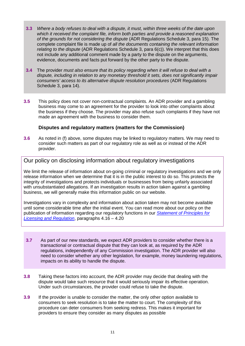- **3.3** *Where a body refuses to deal with a dispute, it must, within three weeks of the date upon which it received the complaint file, inform both parties and provide a reasoned explanation of the grounds for not considering the dispute* (ADR Regulations Schedule 3, para 15)*.* The complete complaint file is made up of *all the documents containing the relevant information relating to the dispute* (ADR Regulations Schedule 3, para 6(c)). We interpret that this does not include any additional comment made by a party to the dispute on the arguments, evidence, documents and facts put forward by the other party to the dispute.
- **3.4** The provider *must also ensure that its policy regarding when it will refuse to deal with a dispute, including in relation to any monetary threshold it sets, does not significantly impair consumers' access to its alternative dispute resolution procedures* (ADR Regulations Schedule 3, para 14).
- **3.5** This policy does not cover non-contractual complaints. An ADR provider and a gambling business may come to an agreement for the provider to look into other complaints about the business if they choose. The provider may also refuse such complaints if they have not made an agreement with the business to consider them.

#### **Disputes and regulatory matters (matters for the Commission)**

**3.6** As noted in (f) above, some disputes may be linked to regulatory matters. We may need to consider such matters as part of our regulatory role as well as or instead of the ADR provider.

Our policy on disclosing information about regulatory investigations

We limit the release of information about on-going criminal or regulatory investigations and we only release information when we determine that it is in the public interest to do so. This protects the integrity of investigations and protects individuals or businesses from being unfairly associated with unsubstantiated allegations. If an investigation results in action taken against a gambling business, we will generally make this information public on our website.

Investigations vary in complexity and information about action taken may not become available until some considerable time after the initial event. You can read more about our policy on the publication of information regarding our regulatory functions in our *[Statement of Principles for](https://www.gamblingcommission.gov.uk/pdf/statement-of-principles-for-licensing-and-regulation.pdf)  [Licensing and Regulation](https://www.gamblingcommission.gov.uk/pdf/statement-of-principles-for-licensing-and-regulation.pdf)*, paragraphs 4.16 – 4.20

- **3.7** As part of our new standards, we expect ADR providers to consider whether there is a transactional or contractual dispute that they can look at, as required by the ADR regulations, independently of any Commission investigation. The ADR provider will also need to consider whether any other legislation, for example, money laundering regulations, impacts on its ability to handle the dispute.
- **3.8** Taking these factors into account, the ADR provider may decide that dealing with the dispute would take such resource that it would seriously impair its effective operation. Under such circumstances, the provider could refuse to take the dispute.
- **3.9** If the provider is unable to consider the matter, the only other option available to consumers to seek resolution is to take the matter to court. The complexity of this procedure can deter consumers from seeking redress. This makes it important for providers to ensure they consider as many disputes as possible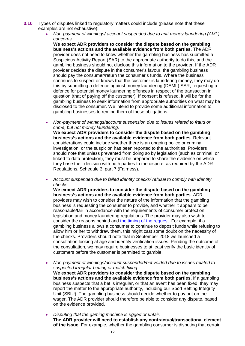- **3.10** Types of disputes linked to regulatory matters could include (please note that these examples are not exhaustive):
	- *Non-payment of winnings/ account suspended due to anti-money laundering (AML) concerns*

**We expect ADR providers to consider the dispute based on the gambling business's actions and the available evidence from both parties.** The ADR provider does not need to know whether the gambling business has submitted a Suspicious Activity Report (SAR) to the appropriate authority to do this, and the gambling business should not disclose this information to the provider. If the ADR provider decides the dispute in the consumer's favour, the gambling business should pay the consumer/return the consumer's funds. Where the business continues to suspect or knows that the customer is laundering money, they may do this by submitting a defence against money laundering (DAML) SAR, requesting a defence for potential money laundering offences in respect of the transaction in question (that of paying off the customer). If consent is refused, it will be for the gambling business to seek information from appropriate authorities on what may be disclosed to the consumer. We intend to provide some additional information to gambling businesses to remind them of these obligations.

• *Non-payment of winnings/account suspension due to issues related to fraud or crime, but not money laundering.*

**We expect ADR providers to consider the dispute based on the gambling business's actions and the available evidence from both parties.** Relevant considerations could include whether there is an ongoing police or criminal investigation, or the suspicion has been reported to the authorities. Providers should note that unless prevented from doing so by legislation (such as criminal, or linked to data protection), they must be prepared to share the evidence on which they base their decision with both parties to the dispute, as required by the ADR Regulations, Schedule 3, part 7 (Fairness).

• *Account suspended due to failed identity checks/ refusal to comply with identity checks*

**We expect ADR providers to consider the dispute based on the gambling business's actions and the available evidence from both parties.** ADR providers may wish to consider the nature of the information that the gambling business is requesting the consumer to provide, and whether it appears to be reasonable/fair in accordance with the requirements of consumer protection legislation and money laundering regulations. The provider may also wish to consider the reasons behind and [the timing of the request.](http://www.gamblingcommission.gov.uk/news-action-and-statistics/news/2017/Commission-urges-operators-to-review-when-customer-identity-checks-are-made.aspx) For example, if a gambling business allows a consumer to continue to deposit funds while refusing to allow him or her to withdraw them, this might cast some doubt on the necessity of the checks. Providers should note that in September 2018 we launched a consultation looking at age and identity verification issues. Pending the outcome of the consultation, we may require businesses to at least verify the basic identity of customers before the customer is permitted to gamble.

- *Non-payment of winnings/account suspended/bet voided due to issues related to suspected irregular betting or match fixing*. **We expect ADR providers to consider the dispute based on the gambling business's actions and the available evidence from both parties.** If a gambling business suspects that a bet is irregular, or that an event has been fixed, they may report the matter to the appropriate authority, including our Sport Betting Integrity Unit (SBIU). The gambling business should decide whether to pay out on the wager. The ADR provider should therefore be able to consider any dispute, based on the evidence provided.
- *Disputing that the gaming machine is rigged or unfair*. **The ADR provider will need to establish any contractual/transactional element of the issue**. For example, whether the gambling consumer is disputing that certain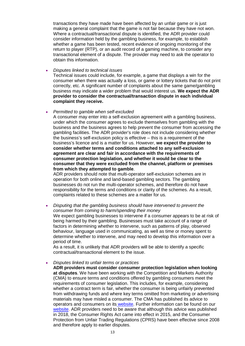transactions they have made have been affected by an unfair game or is just making a general complaint that the game is not fair because they have not won. Where a contractual/transactional dispute is identified, the ADR provider could consider information held by the gambling business, for example, to establish whether a game has been tested, recent evidence of ongoing monitoring of the return to player (RTP), or an audit record of a gaming machine, to consider any transactional element of a dispute. The provider may need to ask the operator to obtain this information.

• *Disputes linked to technical issues*

Technical issues could include, for example, a game that displays a win for the consumer when there was actually a loss, or game or lottery tickets that do not print correctly, etc. A significant number of complaints about the same game/gambling business may indicate a wider problem that would interest us. **We expect the ADR provider to consider the contractual/transaction dispute in each individual complaint they receive.**

• *Permitted to gamble when self-excluded*

A consumer may enter into a self-exclusion agreement with a gambling business, under which the consumer agrees to exclude themselves from gambling with the business and the business agrees to help prevent the consumer from accessing the gambling facilities. The ADR provider's role does not include considering whether the business's self-exclusion policy is effective – this is a requirement of the business's licence and is a matter for us. However, **we expect the provider to consider whether terms and conditions attached to any self-exclusion agreement are clear and fair in accordance with the requirements of consumer protection legislation, and whether it would be clear to the consumer that they were excluded from the channel, platform or premises from which they attempted to gamble**.

ADR providers should note that multi-operator self-exclusion schemes are in operation for both online and land-based gambling sectors. The gambling businesses do not run the multi-operator schemes, and therefore do not have responsibility for the terms and conditions or clarity of the schemes. As a result, complaints related to these schemes are a matter for us.

• *Disputing that the gambling business should have intervened to prevent the consumer from coming to harm/spending their money* We expect gambling businesses to intervene if a consumer appears to be at risk of being harmed by their gambling. Businesses must take account of a range of factors in determining whether to intervene, such as patterns of play, observed behaviour, language used in communicating, as well as time or money spent to determine whether to intervene, and may need to develop this information over a period of time.

As a result, it is unlikely that ADR providers will be able to identify a specific contractual/transactional element to the issue.

• *Disputes linked to unfair terms or practices*

**ADR providers must consider consumer protection legislation when looking at disputes**. We have been working with the Competition and Markets Authority (CMA) to ensure terms and conditions offered by gambling consumers meet the requirements of consumer legislation. This includes, for example, considering whether a contract term is fair, whether the consumer is being unfairly prevented from withdrawing funds and where key terms omitted from marketing or advertising materials may have misled a consumer. The CMA has published its advice to operators and consumers on its [website.](https://www.gov.uk/cma-cases/online-gambling) Further information can be found on our [website.](http://www.gamblingcommission.gov.uk/for-gambling-businesses/Compliance/General-compliance/Social-responsibility/Fair-and-transparent-terms-and-practices.aspx) ADR providers need to be aware that although this advice was published in 2018, the Consumer Rights Act came into effect in 2015, and the Consumer Protection from Unfair Trading Regulations (CPRS) have been effective since 2008 and therefore apply to earlier disputes.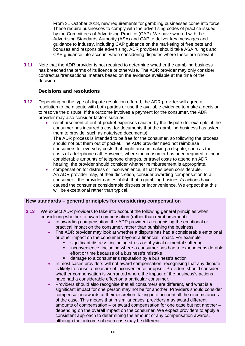From 31 October 2018, new requirements for gambling businesses come into force. These require businesses to comply with the advertising codes of practice issued by the Committees of Advertising Practice (CAP). We have worked with the Advertising Standards Authority (ASA) and CAP to deliver key messages and guidance to industry, including CAP guidance on the marketing of free bets and bonuses and responsible advertising. ADR providers should take ASA rulings and CAP guidance into account when considering disputes where these are relevant.

**3.11** Note that the ADR provider is not required to determine whether the gambling business has breached the terms of its licence or otherwise. The ADR provider may only consider contractual/transactional matters based on the evidence available at the time of the decision.

#### **Decisions and resolutions**

- **3.12** Depending on the type of dispute resolution offered, the ADR provider will agree a resolution to the dispute with both parties or use the available evidence to make a decision to resolve the dispute. If the outcome involves a payment for the consumer, the ADR provider may also consider factors such as:
	- reimbursement of out-of-pocket expenses caused by the dispute (for example, if the consumer has incurred a cost for documents that the gambling business has asked them to provide, such as notarised documents). The ADR process is intended to be free for the consumer, so following the process should not put them out of pocket. The ADR provider need not reimburse consumers for everyday costs that might arise in making a dispute, such as the costs of a telephone call. However, where the consumer has been required to incur considerable amounts of telephone charges, or travel costs to attend an ADR hearing, the provider should consider whether reimbursement is appropriate. • compensation for distress or inconvenience, if that has been considerable.
	- An ADR provider may, at their discretion, consider awarding compensation to a consumer if the provider can establish that a gambling business's actions have caused the consumer considerable distress or inconvenience. We expect that this will be exceptional rather than typical.

#### **New standards – general principles for considering compensation**

- **3.13** We expect ADR providers to take into account the following general principles when considering whether to award compensation (rather than reimbursement):
	- In awarding compensation, the ADR provider is recognising the emotional or practical impact on the consumer, rather than punishing the business.
	- The ADR provider may look at whether a dispute has had a considerable emotional or other impact on the consumer beyond a financial impact. For example:
		- significant distress, including stress or physical or mental suffering
		- inconvenience, including where a consumer has had to expend considerable effort or time because of a business's mistake
		- damage to a consumer's reputation by a business's action
	- In most cases providers will not award compensation, recognising that any dispute is likely to cause a measure of inconvenience or upset. Providers should consider whether compensation is warranted where the impact of the business's actions have had a considerable effect on a particular consumer.
	- Providers should also recognise that all consumers are different, and what is a significant impact for one person may not be for another. Providers should consider compensation awards at their discretion, taking into account all the circumstances of the case. This means that in similar cases, providers may award different amounts of compensation – or award compensation for one case but not another – depending on the overall impact on the consumer. We expect providers to apply a consistent approach to determining the amount of any compensation awards, although the outcome of each case may be different.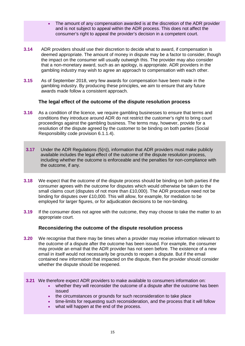- The amount of any compensation awarded is at the discretion of the ADR provider and is not subject to appeal within the ADR process. This does not affect the consumer's right to appeal the provider's decision in a competent court.
- **3.14** ADR providers should use their discretion to decide what to award, if compensation is deemed appropriate. The amount of money in dispute may be a factor to consider, though the impact on the consumer will usually outweigh this. The provider may also consider that a non-monetary award, such as an apology, is appropriate. ADR providers in the gambling industry may wish to agree an approach to compensation with each other.
- **3.15** As of September 2018, very few awards for compensation have been made in the gambling industry. By producing these principles, we aim to ensure that any future awards made follow a consistent approach.

#### **The legal effect of the outcome of the dispute resolution process**

- **3.16** As a condition of the licence, we require gambling businesses to ensure that terms and conditions they introduce around ADR do not restrict the customer's right to bring court proceedings against the gambling business. The terms may, however, provide for a resolution of the dispute agreed by the customer to be binding on both parties (Social Responsibility code provision 6.1.1.4).
- **3.17** Under the ADR Regulations (5(n)), information that ADR providers must make publicly available includes the legal effect of the outcome of the dispute resolution process, including whether the outcome is enforceable and the penalties for non-compliance with the outcome, if any.
- **3.18** We expect that the outcome of the dispute process should be binding on both parties if the consumer agrees with the outcome for disputes which would otherwise be taken to the small claims court (disputes of not more than £10,000). The ADR procedure need not be binding for disputes over £10,000. This will allow, for example, for mediation to be employed for larger figures, or for adjudication decisions to be non-binding.
- **3.19** If the consumer does not agree with the outcome, they may choose to take the matter to an appropriate court.

#### **Reconsidering the outcome of the dispute resolution process**

- **3.20** We recognise that there may be times when a provider may receive information relevant to the outcome of a dispute after the outcome has been issued. For example, the consumer may provide an email that the ADR provider has not seen before. The existence of a new email in itself would not necessarily be grounds to reopen a dispute. But if the email contained new information that impacted on the dispute, then the provider should consider whether the dispute should be reopened.
- **3.21** We therefore expect ADR providers to make available to consumers information on:
	- whether they will reconsider the outcome of a dispute after the outcome has been issued
	- the circumstances or grounds for such reconsideration to take place
	- time-limits for requesting such reconsideration, and the process that it will follow
	- what will happen at the end of the process.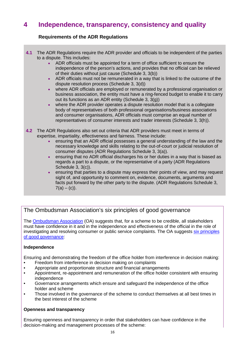# **4 Independence, transparency, consistency and quality**

### **Requirements of the ADR Regulations**

- **4.1** The ADR Regulations require the ADR provider and officials to be independent of the parties to a dispute. This includes:
	- ADR officials must be appointed for a term of office sufficient to ensure the independence of the person's actions, and provides that no official can be relieved of their duties without just cause (Schedule 3, 3(b))
	- ADR officials must not be remunerated in a way that is linked to the outcome of the dispute resolution process (Schedule 3, 3(d))
	- where ADR officials are employed or remunerated by a professional organisation or business association, the entity must have a ring-fenced budget to enable it to carry out its functions as an ADR entity (Schedule 3, 3(g))
	- where the ADR provider operates a dispute resolution model that is a collegiate body of representatives of both professional organisations/business associations and consumer organisations, ADR officials must comprise an equal number of representatives of consumer interests and trader interests (Schedule 3, 3(h)).
- **4.2** The ADR Regulations also set out criteria that ADR providers must meet in terms of expertise, impartiality, effectiveness and fairness. These include:
	- ensuring that an ADR official possesses a general understanding of the law and the necessary knowledge and skills relating to the out-of-court or judicial resolution of consumer disputes (ADR Regulations Schedule 3, 3(a)).
	- ensuring that no ADR official discharges his or her duties in a way that is biased as regards a part to a dispute, or the representative of a party (ADR Regulations Schedule 3, 3(c)).
	- ensuring that parties to a dispute may express their points of view, and may request sight of, and opportunity to comment on, evidence, documents, arguments and facts put forward by the other party to the dispute. (ADR Regulations Schedule 3,  $7(a) - (c)$ ).

# The Ombudsman Association's six principles of good governance

The [Ombudsman Association](http://www.ombudsmanassociation.org/) (OA) suggests that, for a scheme to be credible, all stakeholders must have confidence in it and in the independence and effectiveness of the official in the role of investigating and resolving consumer or public service complaints. The OA suggests [six principles](http://www.ombudsmanassociation.org/docs/BIOAGovernanceGuideOct09.pdf)  [of good governance:](http://www.ombudsmanassociation.org/docs/BIOAGovernanceGuideOct09.pdf)

#### **Independence**

Ensuring and demonstrating the freedom of the office holder from interference in decision making:

- Freedom from interference in decision making on complaints
- Appropriate and proportionate structure and financial arrangements<br>• Appointment, re-appointment and remuneration of the office bolder
- Appointment, re-appointment and remuneration of the office holder consistent with ensuring independence
- Governance arrangements which ensure and safeguard the independence of the office holder and scheme
- Those involved in the governance of the scheme to conduct themselves at all best times in the best interest of the scheme

#### **Openness and transparency**

Ensuring openness and transparency in order that stakeholders can have confidence in the decision-making and management processes of the scheme: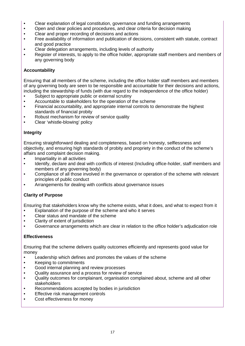- Clear explanation of legal constitution, governance and funding arrangements
- Open and clear policies and procedures, and clear criteria for decision making
- Clear and proper recording of decisions and actions
- Free availability of information and publication of decisions, consistent with statute, contract and good practice
- Clear delegation arrangements, including levels of authority
- Register of interests, to apply to the office holder, appropriate staff members and members of any governing body

#### **Accountability**

Ensuring that all members of the scheme, including the office holder staff members and members of any governing body are seen to be responsible and accountable for their decisions and actions, including the stewardship of funds (with due regard to the independence of the office holder)

- Subject to appropriate public or external scrutiny
- Accountable to stakeholders for the operation of the scheme
- Financial accountability, and appropriate internal controls to demonstrate the highest standards of financial probity
- Robust mechanism for review of service quality
- Clear 'whistle-blowing' policy

#### **Integrity**

Ensuring straightforward dealing and completeness, based on honesty, selflessness and objectivity, and ensuring high standards of probity and propriety in the conduct of the scheme's affairs and complaint decision making.

- Impartiality in all activities
- Identify, declare and deal with conflicts of interest (Including office-holder, staff members and members of any governing body)
- Compliance of all those involved in the governance or operation of the scheme with relevant principles of public conduct
- Arrangements for dealing with conflicts about governance issues

#### **Clarity of Purpose**

Ensuring that stakeholders know why the scheme exists, what it does, and what to expect from it

- Explanation of the purpose of the scheme and who it serves
- Clear status and mandate of the scheme
- Clarity of extent of jurisdiction
- Governance arrangements which are clear in relation to the office holder's adjudication role

#### **Effectiveness**

Ensuring that the scheme delivers quality outcomes efficiently and represents good value for money

- Leadership which defines and promotes the values of the scheme
- Keeping to commitments
- Good internal planning and review processes
- Quality assurance and a process for review of service
- Quality outcomes for complainant, organisation complained about, scheme and all other stakeholders
- Recommendations accepted by bodies in jurisdiction
- Effective risk management controls
- Cost effectiveness for money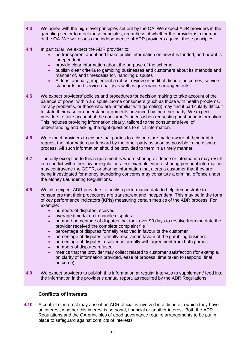- **4.3** We agree with the high-level principles set out by the OA. We expect ADR providers in the gambling sector to meet these principles, regardless of whether the provider is a member of the OA. We will assess the independence of ADR providers against these principles.
- **4.4** In particular, we expect the ADR provider to:
	- be transparent about and make public information on how it is funded, and how it is independent
	- provide clear information about the purpose of the scheme
	- publish clear criteria to gambling businesses and customers about its methods and manner of, and timescales for, handling disputes
	- At least annually, implement a robust review or audit of dispute outcomes, service standards and service quality as well as governance arrangements.
- **4.5** We expect providers' policies and procedures for decision making to take account of the balance of power within a dispute. Some consumers (such as those with health problems, literacy problems, or those who are unfamiliar with gambling) may find it particularly difficult to state their case or understand arguments advanced by the other party. We expect providers to take account of the consumer's needs when requesting or sharing information. This includes providing information clearly, tailored to the consumer's level of understanding and asking the right questions to elicit information.
- **4.6** We expect providers to ensure that parties to a dispute are made aware of their right to request the information put forward by the other party as soon as possible in the dispute process. All such information should be provided to them in a timely manner.
- **4.7** The only exception to this requirement is where sharing evidence or information may result in a conflict with other law or regulations. For example, where sharing personal information may contravene the GDPR, or sharing information that alerts a customer that they are being investigated for money laundering concerns may constitute a criminal offence under the Money Laundering Regulations.
- **4.8** We also expect ADR providers to publish performance data to help demonstrate to consumers that their procedures are transparent and independent. This may be in the form of key performance indicators (KPIs) measuring certain metrics of the ADR process. For example:
	- numbers of disputes received
	- average time taken to handle disputes
	- number/ percentage of disputes that took over 90 days to resolve from the date the provider received the complete complaint file
	- percentage of disputes formally resolved in favour of the customer
	- percentage of disputes formally resolved in favour of the gambling business
	- percentage of disputes resolved informally with agreement from both parties
	- numbers of disputes refused
	- metrics that the provider may collect related to customer satisfaction (for example, on clarity of information provided, ease of process, time taken to respond, final outcome).
- **4.9** We expect providers to publish this information at regular intervals to supplement/ feed into the information in the provider's annual report, as required by the ADR Regulations.

## **Conflicts of interests**

**4.10** A conflict of interest may arise if an ADR official is involved in a dispute in which they have an interest, whether this interest is personal, financial or another interest. Both the ADR Regulations and the OA principles of good governance require arrangements to be put in place to safeguard against conflicts of interests.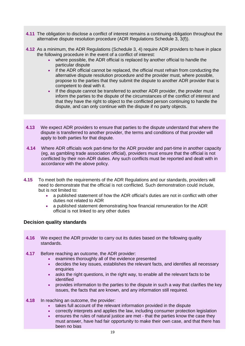- **4.11** The obligation to disclose a conflict of interest remains a continuing obligation throughout the alternative dispute resolution procedure (ADR Regulations Schedule 3, 3(f)).
- **4.12** As a minimum, the ADR Regulations (Schedule 3, 4) require ADR providers to have in place the following procedure in the event of a conflict of interest:
	- where possible, the ADR official is replaced by another official to handle the particular dispute
	- if the ADR official cannot be replaced, the official must refrain from conducting the alternative dispute resolution procedure and the provider must, where possible, propose to the parties that they submit the dispute to another ADR provider that is competent to deal with it.
	- If the dispute cannot be transferred to another ADR provider, the provider must inform the parties to the dispute of the circumstances of the conflict of interest and that they have the right to object to the conflicted person continuing to handle the dispute, and can only continue with the dispute if no party objects.
- **4.13** We expect ADR providers to ensure that parties to the dispute understand that where the dispute is transferred to another provider, the terms and conditions of that provider will apply to both parties for that dispute.
- **4.14** Where ADR officials work part-time for the ADR provider and part-time in another capacity (eg, as gambling trade association official), providers must ensure that the official is not conflicted by their non-ADR duties. Any such conflicts must be reported and dealt with in accordance with the above policy.
- **4.15** To meet both the requirements of the ADR Regulations and our standards, providers will need to demonstrate that the official is not conflicted. Such demonstration could include, but is not limited to:
	- a published statement of how the ADR official's duties are not in conflict with other duties not related to ADR
	- a published statement demonstrating how financial remuneration for the ADR official is not linked to any other duties

#### **Decision quality standards**

- **4.16** We expect the ADR provider to carry out its duties based on the following quality standards.
- **4.17** Before reaching an outcome, the ADR provider:
	- examines thoroughly all of the evidence presented
	- decides the key issues, establishes the relevant facts, and identifies all necessary enquiries
	- asks the right questions, in the right way, to enable all the relevant facts to be identified
	- provides information to the parties to the dispute in such a way that clarifies the key issues, the facts that are known, and any information still required.
- **4.18** In reaching an outcome, the provider:
	- takes full account of the relevant information provided in the dispute
	- correctly interprets and applies the law, including consumer protection legislation
	- ensures the rules of natural justice are met that the parties know the case they must answer, have had fair opportunity to make their own case, and that there has been no bias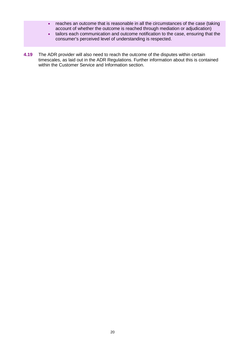- reaches an outcome that is reasonable in all the circumstances of the case (taking account of whether the outcome is reached through mediation or adjudication)
- tailors each communication and outcome notification to the case, ensuring that the consumer's perceived level of understanding is respected.
- **4.19** The ADR provider will also need to reach the outcome of the disputes within certain timescales, as laid out in the ADR Regulations. Further information about this is contained within the Customer Service and Information section.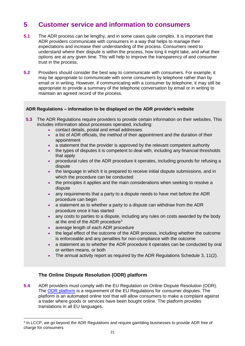# **5 Customer service and information to consumers**

- **5.1** The ADR process can be lengthy, and in some cases quite complex. It is important that ADR providers communicate with consumers in a way that helps to manage their expectations and increase their understanding of the process. Consumers need to understand where their dispute is within the process, how long it might take, and what their options are at any given time. This will help to improve the transparency of and consumer trust in the process.
- **5.2** Providers should consider the best way to communicate with consumers. For example, it may be appropriate to communicate with some consumers by telephone rather than by email or in writing. However, if communicating with a consumer by telephone, it may still be appropriate to provide a summary of the telephone conversation by email or in writing to maintain an agreed record of the process.

#### **ADR Regulations – information to be displayed on the ADR provider's website**

- **5.3** The ADR Regulations require providers to provide certain information on their websites. This includes information about processes operated, including:
	- contact details, postal and email addresses
	- a list of ADR officials, the method of their appointment and the duration of their appointment
	- a statement that the provider is approved by the relevant competent authority
	- the types of disputes it is competent to deal with, including any financial thresholds that apply
	- procedural rules of the ADR procedure it operates, including grounds for refusing a dispute
	- the language in which it is prepared to receive initial dispute submissions, and in which the procedure can be conducted
	- the principles it applies and the main considerations when seeking to resolve a dispute
	- any requirements that a party to a dispute needs to have met before the ADR procedure can begin
	- a statement as to whether a party to a dispute can withdraw from the ADR procedure once it has started
	- any costs to parties to a dispute, including any rules on costs awarded by the body at the end of the ADR procedure<sup>[3](#page-20-0)</sup>
	- average length of each ADR procedure
	- the legal effect of the outcome of the ADR process, including whether the outcome is enforceable and any penalties for non-compliance with the outcome
	- a statement as to whether the ADR procedure it operates can be conducted by oral or written means, or both
	- The annual activity report as required by the ADR Regulations Schedule 3, 11(2).

## **The Online Dispute Resolution (ODR) platform**

**5.4** ADR providers must comply with the EU Regulation on Online Dispute Resolution (ODR). The [ODR platform](https://ec.europa.eu/consumers/odr/main/index.cfm?event=main.home.chooseLanguage) is a requirement of the EU Regulations for consumer disputes. The platform is an automated online tool that will allow consumers to make a complaint against a trader where goods or services have been bought online. The platform provides translations in all EU languages.

<span id="page-20-0"></span> $\overline{a}$ <sup>3</sup> In LCCP, we go beyond the ADR Regulations and require gambling businesses to provide ADR free of charge for consumers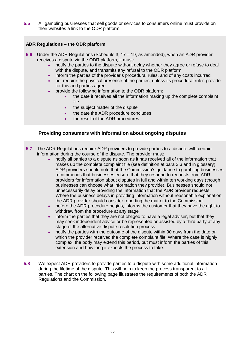**5.5** All gambling businesses that sell goods or services to consumers online must provide on their websites a link to the ODR platform.

#### **ADR Regulations – the ODR platform**

- **5.6** Under the ADR Regulations (Schedule 3, 17 19, as amended), when an ADR provider receives a dispute via the ODR platform, it must:
	- notify the parties to the dispute without delay whether they agree or refuse to deal with the dispute, and transmits any refusal to the ODR platform
	- inform the parties of the provider's procedural rules, and of any costs incurred
	- not require the physical presence of the parties, unless its procedural rules provide for this and parties agree
	- provide the following information to the ODR platform:
		- the date it receives all the information making up the complete complaint file
		- the subject matter of the dispute
		- the date the ADR procedure concludes
		- the result of the ADR procedures

#### **Providing consumers with information about ongoing disputes**

- **5.7** The ADR Regulations require ADR providers to provide parties to a dispute with certain information during the course of the dispute. The provider must:
	- notify all parties to a dispute as soon as it has received all of the information that makes up the complete complaint file (see definition at para 3.3 and in glossary) ADR providers should note that the Commission's guidance to gambling businesses recommends that businesses ensure that they respond to requests from ADR providers for information about disputes in full and within ten working days (though businesses can choose what information they provide). Businesses should not unnecessarily delay providing the information that the ADR provider requests. Where the business delays in providing information without reasonable explanation, the ADR provider should consider reporting the matter to the Commission.
	- before the ADR procedure begins, informs the customer that they have the right to withdraw from the procedure at any stage
	- inform the parties that they are not obliged to have a legal adviser, but that they may seek independent advice or be represented or assisted by a third party at any stage of the alternative dispute resolution process
	- notify the parties with the outcome of the dispute within 90 days from the date on which the provider received the complete complaint file. Where the case is highly complex, the body may extend this period, but must inform the parties of this extension and how long it expects the process to take.
- **5.8** We expect ADR providers to provide parties to a dispute with some additional information during the lifetime of the dispute. This will help to keep the process transparent to all parties. The chart on the following page illustrates the requirements of both the ADR Regulations and the Commission.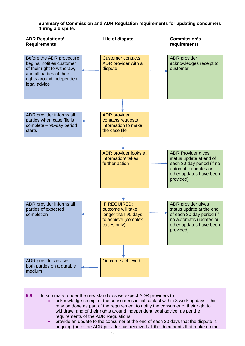

**Summary of Commission and ADR Regulation requirements for updating consumers during a dispute.**

- **5.9** In summary, under the new standards we expect ADR providers to:
	- acknowledge receipt of the consumer's initial contact within 3 working days. This may be done as part of the requirement to notify the consumer of their right to withdraw, and of their rights around independent legal advice, as per the requirements of the ADR Regulations.
	- provide an update to the consumer at the end of each 30 days that the dispute is ongoing (once the ADR provider has received all the documents that make up the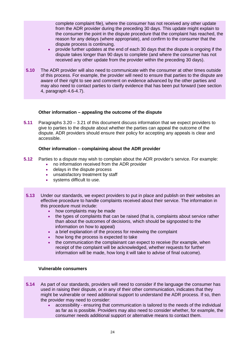complete complaint file), where the consumer has not received any other update from the ADR provider during the preceding 30 days. This update might explain to the consumer the point in the dispute procedure that the complaint has reached, the reason for any delays (where appropriate), and confirm to the consumer that the dispute process is continuing.

- provide further updates at the end of each 30 days that the dispute is ongoing if the dispute takes longer than 90 days to complete (and where the consumer has not received any other update from the provider within the preceding 30 days).
- **5.10** The ADR provider will also need to communicate with the consumer at other times outside of this process. For example, the provider will need to ensure that parties to the dispute are aware of their right to see and comment on evidence advanced by the other parties and may also need to contact parties to clarify evidence that has been put forward (see section 4, paragraph 4.6-4.7).

#### **Other information – appealing the outcome of the dispute**

**5.11** Paragraphs 3.20 – 3.21 of this document discuss information that we expect providers to give to parties to the dispute about whether the parties can appeal the outcome of the dispute. ADR providers should ensure their policy for accepting any appeals is clear and accessible.

#### **Other information – complaining about the ADR provider**

- **5.12** Parties to a dispute may wish to complain about the ADR provider's service. For example:<br>• no information received from the ADR provider
	- no information received from the ADR provider
	- delays in the dispute process
	- unsatisfactory treatment by staff
	- systems difficult to use.
- **5.13** Under our standards, we expect providers to put in place and publish on their websites an effective procedure to handle complaints received about their service. The information in this procedure must include:
	- how complaints may be made
	- the types of complaints that can be raised (that is, complaints about service rather than about the outcomes of decisions, which should be signposted to the information on how to appeal)
	- a brief explanation of the process for reviewing the complaint
	- how long the process is expected to take
	- the communication the complainant can expect to receive (for example, when receipt of the complaint will be acknowledged, whether requests for further information will be made, how long it will take to advise of final outcome).

#### **Vulnerable consumers**

- **5.14** As part of our standards, providers will need to consider if the language the consumer has used in raising their dispute, or in any of their other communication, indicates that they might be vulnerable or need additional support to understand the ADR process. If so, then the provider may need to consider:
	- accessibility ensuring that communication is tailored to the needs of the individual as far as is possible. Providers may also need to consider whether, for example, the consumer needs additional support or alternative means to contact them.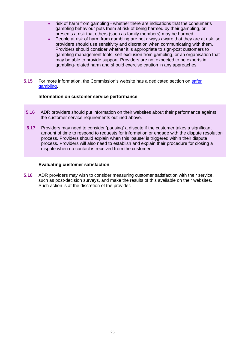- risk of harm from gambling whether there are indications that the consumer's gambling behaviour puts them at risk of being harmed by their gambling, or presents a risk that others (such as family members) may be harmed.
- People at risk of harm from gambling are not always aware that they are at risk, so providers should use sensitivity and discretion when communicating with them. Providers should consider whether it is appropriate to sign-post customers to gambling management tools, self-exclusion from gambling, or an organisation that may be able to provide support. Providers are not expected to be experts in gambling-related harm and should exercise caution in any approaches.
- **5.15** For more information, the Commission's website has a dedicated section on [safer](http://www.gamblingcommission.gov.uk/for-the-public/Safer-gambling/Safer-gambling.aspx)  [gambling.](http://www.gamblingcommission.gov.uk/for-the-public/Safer-gambling/Safer-gambling.aspx)

#### **Information on customer service performance**

- **5.16** ADR providers should put information on their websites about their performance against the customer service requirements outlined above.
- **5.17** Providers may need to consider 'pausing' a dispute if the customer takes a significant amount of time to respond to requests for information or engage with the dispute resolution process. Providers should explain when this 'pause' is triggered within their dispute process. Providers will also need to establish and explain their procedure for closing a dispute when no contact is received from the customer.

#### **Evaluating customer satisfaction**

**5.18** ADR providers may wish to consider measuring customer satisfaction with their service, such as post-decision surveys, and make the results of this available on their websites. Such action is at the discretion of the provider.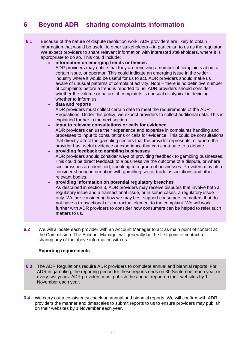# **6 Beyond ADR – sharing complaints information**

**6.1** Because of the nature of dispute resolution work, ADR providers are likely to obtain information that would be useful to other stakeholders – in particular, to us as the regulator. We expect providers to share relevant information with interested stakeholders, where it is appropriate to do so. This could include:

#### • **information on emerging trends or themes**

ADR providers may notice that they are receiving a number of complaints about a certain issue, or operator. This could indicate an emerging issue in the wider industry where it would be useful for us to act. ADR providers should make us aware of unusual patterns of complaint activity. Note – there is no definitive number of complaints before a trend is reported to us. ADR providers should consider whether the volume or nature of complaints is unusual or atypical in deciding whether to inform us.

#### • **data and reports**

ADR providers must collect certain data to meet the requirements of the ADR Regulations. Under this policy, we expect providers to collect additional data. This is explained further in the next section

#### • **input to relevant consultations or calls for evidence**

ADR providers can use their experience and expertise in complaints handling and processes to input to consultations or calls for evidence. This could be consultations that directly affect the gambling sectors that the provider represents, or where the provider has useful evidence or experience that can contribute to a debate.

#### • **providing feedback to gambling businesses**

ADR providers should consider ways of providing feedback to gambling businesses. This could be direct feedback to a business via the outcome of a dispute, or where similar issues are identified, speaking to a group of businesses. Providers may also consider sharing information with gambling sector trade associations and other relevant bodies.

#### • **providing information on potential regulatory breaches**

As described in section 3, ADR providers may receive disputes that involve both a regulatory issue and a transactional issue, or in some cases, a regulatory issue only. We are considering how we may best support consumers in matters that do not have a transactional or contractual element to the complaint. We will work further with ADR providers to consider how consumers can be helped to refer such matters to us.

**6.2** We will allocate each provider with an Account Manager to act as main point of contact at the Commission. The Account Manager will generally be the first point of contact for sharing any of the above information with us.

#### **Reporting requirements**

- **6.3** The ADR Regulations require ADR providers to complete annual and biennial reports. For ADR in gambling, the reporting period for these reports ends on 30 September each year or every two years. ADR providers must publish the annual report on their websites by 1 November each year.
- **6.4** We carry out a consistency check on annual and biennial reports. We will confirm with ADR providers the manner and timescales to submit reports to us to ensure providers may publish on their websites by 1 November each year.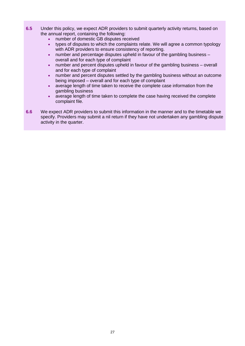- **6.5** Under this policy, we expect ADR providers to submit quarterly activity returns, based on the annual report, containing the following:
	- number of domestic GB disputes received
	- types of disputes to which the complaints relate. We will agree a common typology with ADR providers to ensure consistency of reporting.
	- number and percentage disputes upheld in favour of the gambling business overall and for each type of complaint
	- number and percent disputes upheld in favour of the gambling business overall and for each type of complaint
	- number and percent disputes settled by the gambling business without an outcome being imposed – overall and for each type of complaint
	- average length of time taken to receive the complete case information from the gambling business
	- average length of time taken to complete the case having received the complete complaint file.
- **6.6** We expect ADR providers to submit this information in the manner and to the timetable we specify. Providers may submit a nil return if they have not undertaken any gambling dispute activity in the quarter.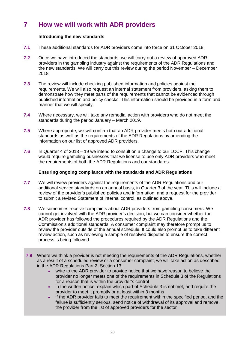# **7 How we will work with ADR providers**

#### **Introducing the new standards**

- **7.1** These additional standards for ADR providers come into force on 31 October 2018.
- **7.2** Once we have introduced the standards, we will carry out a review of approved ADR providers in the gambling industry against the requirements of the ADR Regulations and the new standards. We will carry out this review during the period November – December 2018.
- **7.3** The review will include checking published information and policies against the requirements. We will also request an internal statement from providers, asking them to demonstrate how they meet parts of the requirements that cannot be evidenced through published information and policy checks. This information should be provided in a form and manner that we will specify.
- **7.4** Where necessary, we will take any remedial action with providers who do not meet the standards during the period January – March 2019.
- **7.5** Where appropriate, we will confirm that an ADR provider meets both our additional standards as well as the requirements of the ADR Regulations by amending the information on our list of approved ADR providers.
- **7.6** In Quarter 4 of 2018 19 we intend to consult on a change to our LCCP. This change would require gambling businesses that we license to use only ADR providers who meet the requirements of both the ADR Regulations and our standards.

#### **Ensuring ongoing compliance with the standards and ADR Regulations**

- **7.7** We will review providers against the requirements of the ADR Regulations and our additional service standards on an annual basis, in Quarter 3 of the year. This will include a review of the provider's published policies and information, and a request for the provider to submit a revised Statement of internal control, as outlined above.
- **7.8** We sometimes receive complaints about ADR providers from gambling consumers. We cannot get involved with the ADR provider's decision, but we can consider whether the ADR provider has followed the procedures required by the ADR Regulations and the Commission's additional standards. A consumer complaint may therefore prompt us to review the provider outside of the annual schedule. It could also prompt us to take different review action, such as reviewing a sample of resolved disputes to ensure the correct process is being followed.
- **7.9** Where we think a provider is not meeting the requirements of the ADR Regulations, whether as a result of a scheduled review or a consumer complaint, we will take action as described in the ADR Regulations Part 2, Section 13:
	- write to the ADR provider to provide notice that we have reason to believe the provider no longer meets one of the requirements in Schedule 3 of the Regulations for a reason that is within the provider's control
	- in the written notice, explain which part of Schedule 3 is not met, and require the provider to meet it promptly or at least within 3 months
	- if the ADR provider fails to meet the requirement within the specified period, and the failure is sufficiently serious, send notice of withdrawal of its approval and remove the provider from the list of approved providers for the sector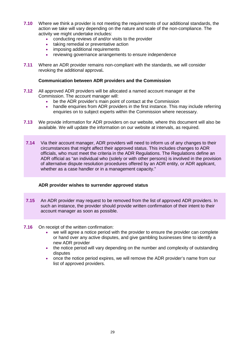- **7.10** Where we think a provider is not meeting the requirements of our additional standards, the action we take will vary depending on the nature and scale of the non-compliance. The activity we might undertake includes:
	- conducting reviews of and/or visits to the provider
	- taking remedial or preventative action
	- imposing additional requirements
	- reviewing governance arrangements to ensure independence
- **7.11** Where an ADR provider remains non-compliant with the standards, we will consider revoking the additional approval**.**

#### **Communication between ADR providers and the Commission**

- **7.12** All approved ADR providers will be allocated a named account manager at the Commission. The account manager will:
	- be the ADR provider's main point of contact at the Commission
	- handle enquiries from ADR providers in the first instance. This may include referring enquiries on to subject experts within the Commission where necessary.
- **7.13** We provide information for ADR providers on our website, where this document will also be available. We will update the information on our website at intervals, as required.
- **7.14** Via their account manager, ADR providers will need to inform us of any changes to their circumstances that might affect their approved status. This includes changes to ADR officials, who must meet the criteria in the ADR Regulations. The Regulations define an ADR official as "an individual who (solely or with other persons) is involved in the provision of alternative dispute resolution procedures offered by an ADR entity, or ADR applicant, whether as a case handler or in a management capacity."

#### **ADR provider wishes to surrender approved status**

- **7.15** An ADR provider may request to be removed from the list of approved ADR providers. In such an instance, the provider should provide written confirmation of their intent to their account manager as soon as possible.
- **7.16** On receipt of the written confirmation:
	- we will agree a notice period with the provider to ensure the provider can complete or hand over any active disputes, and give gambling businesses time to identify a new ADR provider
	- the notice period will vary depending on the number and complexity of outstanding disputes
	- once the notice period expires, we will remove the ADR provider's name from our list of approved providers.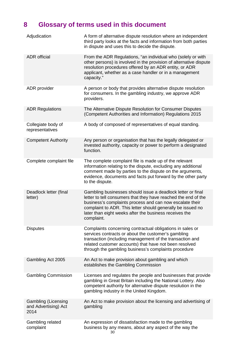# **8 Glossary of terms used in this document**

| Adjudication                                               | A form of alternative dispute resolution where an independent<br>third party looks at the facts and information from both parties<br>in dispute and uses this to decide the dispute.                                                                                                                                             |
|------------------------------------------------------------|----------------------------------------------------------------------------------------------------------------------------------------------------------------------------------------------------------------------------------------------------------------------------------------------------------------------------------|
| <b>ADR</b> official                                        | From the ADR Regulations, "an individual who (solely or with<br>other persons) is involved in the provision of alternative dispute<br>resolution procedures offered by an ADR entity, or ADR<br>applicant, whether as a case handler or in a management<br>capacity."                                                            |
| ADR provider                                               | A person or body that provides alternative dispute resolution<br>for consumers. In the gambling industry, we approve ADR<br>providers.                                                                                                                                                                                           |
| <b>ADR Regulations</b>                                     | The Alternative Dispute Resolution for Consumer Disputes<br>(Competent Authorities and Information) Regulations 2015                                                                                                                                                                                                             |
| Collegiate body of<br>representatives                      | A body of composed of representatives of equal standing.                                                                                                                                                                                                                                                                         |
| <b>Competent Authority</b>                                 | Any person or organisation that has the legally delegated or<br>invested authority, capacity or power to perform a designated<br>function.                                                                                                                                                                                       |
| Complete complaint file                                    | The complete complaint file is made up of the relevant<br>information relating to the dispute, excluding any additional<br>comment made by parties to the dispute on the arguments,<br>evidence, documents and facts put forward by the other party<br>to the dispute.                                                           |
| Deadlock letter (final<br>letter)                          | Gambling businesses should issue a deadlock letter or final<br>letter to tell consumers that they have reached the end of the<br>business's complaints process and can now escalate their<br>complaint to ADR. This letter should generally be issued no<br>later than eight weeks after the business receives the<br>complaint. |
| <b>Disputes</b>                                            | Complaints concerning contractual obligations in sales or<br>services contracts or about the customer's gambling<br>transaction (including management of the transaction and<br>related customer accounts) that have not been resolved<br>through the gambling business's complaints procedure                                   |
| Gambling Act 2005                                          | An Act to make provision about gambling and which<br>establishes the Gambling Commission                                                                                                                                                                                                                                         |
| <b>Gambling Commission</b>                                 | Licenses and regulates the people and businesses that provide<br>gambling in Great Britain including the National Lottery. Also<br>competent authority for alternative dispute resolution in the<br>gambling industry in the United Kingdom.                                                                                     |
| <b>Gambling (Licensing</b><br>and Advertising) Act<br>2014 | An Act to make provision about the licensing and advertising of<br>gambling                                                                                                                                                                                                                                                      |
| Gambling related<br>complaint                              | An expression of dissatisfaction made to the gambling<br>business by any means, about any aspect of the way the                                                                                                                                                                                                                  |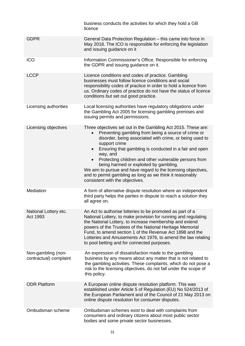|                                              | business conducts the activities for which they hold a GB<br>licence                                                                                                                                                                                                                                                                                                                                                                                                                                                                                   |
|----------------------------------------------|--------------------------------------------------------------------------------------------------------------------------------------------------------------------------------------------------------------------------------------------------------------------------------------------------------------------------------------------------------------------------------------------------------------------------------------------------------------------------------------------------------------------------------------------------------|
| <b>GDPR</b>                                  | General Data Protection Regulation - this came into force in<br>May 2018. The ICO is responsible for enforcing the legislation<br>and issuing guidance on it                                                                                                                                                                                                                                                                                                                                                                                           |
| <b>ICO</b>                                   | Information Commissioner's Office. Responsible for enforcing<br>the GDPR and issuing guidance on it.                                                                                                                                                                                                                                                                                                                                                                                                                                                   |
| <b>LCCP</b>                                  | Licence conditions and codes of practice. Gambling<br>businesses must follow licence conditions and social<br>responsibility codes of practice in order to hold a licence from<br>us. Ordinary codes of practice do not have the status of licence<br>conditions but set out good practice.                                                                                                                                                                                                                                                            |
| Licensing authorities                        | Local licensing authorities have regulatory obligations under<br>the Gambling Act 2005 for licensing gambling premises and<br>issuing permits and permissions.                                                                                                                                                                                                                                                                                                                                                                                         |
| Licensing objectives                         | Three objectives set out in the Gambling Act 2015. These are:<br>Preventing gambling from being a source of crime or<br>disorder, being associated with crime, or being used to<br>support crime<br>Ensuring that gambling is conducted in a fair and open<br>$\bullet$<br>way, and<br>Protecting children and other vulnerable persons from<br>being harmed or exploited by gambling.<br>We aim to pursue and have regard to the licensing objectives,<br>and to permit gambling as long as we think it reasonably<br>consistent with the objectives. |
| Mediation                                    | A form of alternative dispute resolution where an independent<br>third party helps the parties in dispute to reach a solution they<br>all agree on.                                                                                                                                                                                                                                                                                                                                                                                                    |
| National Lottery etc.<br>Act 1993            | An Act to authorise lotteries to be promoted as part of a<br>National Lottery, to make provision for running and regulating<br>the National Lottery, to increase membership and extend<br>powers of the Trustees of the National Heritage Memorial<br>Fund, to amend section 1 of the Revenue Act 1898 and the<br>Lotteries and Amusements Act 1976, to amend the law relating<br>to pool betting and for connected purposes.                                                                                                                          |
| Non-gambling (non-<br>contractual) complaint | An expression of dissatisfaction made to the gambling<br>business by any means about any matter that is not related to<br>the gambling activities. These complaints, which do not pose a<br>risk to the licensing objectives, do not fall under the scope of<br>this policy.                                                                                                                                                                                                                                                                           |
| <b>ODR Platform</b>                          | A European online dispute resolution platform. This was<br>established under Article 5 of Regulation (EU) No 524/2013 of<br>the European Parliament and of the Council of 21 May 2013 on<br>online dispute resolution for consumer disputes.                                                                                                                                                                                                                                                                                                           |
| Ombudsman scheme                             | Ombudsman schemes exist to deal with complaints from<br>consumers and ordinary citizens about most public sector<br>bodies and some private sector businesses.                                                                                                                                                                                                                                                                                                                                                                                         |